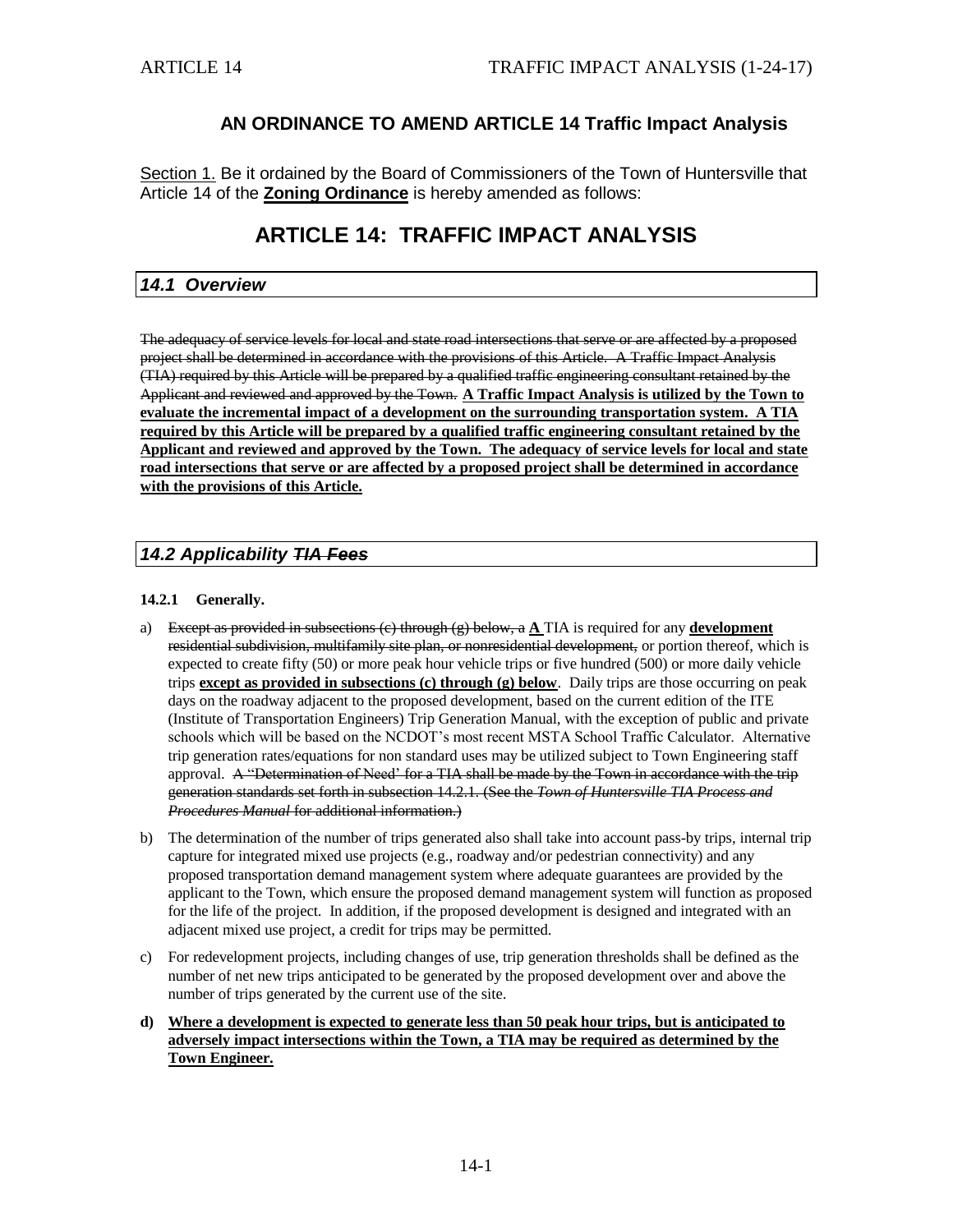# **AN ORDINANCE TO AMEND ARTICLE 14 Traffic Impact Analysis**

Section 1. Be it ordained by the Board of Commissioners of the Town of Huntersville that Article 14 of the **Zoning Ordinance** is hereby amended as follows:

# **ARTICLE 14: TRAFFIC IMPACT ANALYSIS**

## *14.1 Overview*

The adequacy of service levels for local and state road intersections that serve or are affected by a proposed project shall be determined in accordance with the provisions of this Article. A Traffic Impact Analysis (TIA) required by this Article will be prepared by a qualified traffic engineering consultant retained by the Applicant and reviewed and approved by the Town. **A Traffic Impact Analysis is utilized by the Town to evaluate the incremental impact of a development on the surrounding transportation system. A TIA required by this Article will be prepared by a qualified traffic engineering consultant retained by the Applicant and reviewed and approved by the Town. The adequacy of service levels for local and state road intersections that serve or are affected by a proposed project shall be determined in accordance with the provisions of this Article.**

## *14.2 Applicability TIA Fees*

#### **14.2.1 Generally.**

- a) Except as provided in subsections (c) through (g) below, a **A** TIA is required for any **development** residential subdivision, multifamily site plan, or nonresidential development, or portion thereof, which is expected to create fifty (50) or more peak hour vehicle trips or five hundred (500) or more daily vehicle trips **except as provided in subsections (c) through (g) below**. Daily trips are those occurring on peak days on the roadway adjacent to the proposed development, based on the current edition of the ITE (Institute of Transportation Engineers) Trip Generation Manual, with the exception of public and private schools which will be based on the NCDOT's most recent MSTA School Traffic Calculator. Alternative trip generation rates/equations for non standard uses may be utilized subject to Town Engineering staff approval. A "Determination of Need' for a TIA shall be made by the Town in accordance with the trip generation standards set forth in subsection 14.2.1. (See the *Town of Huntersville TIA Process and Procedures Manual* for additional information.)
- b) The determination of the number of trips generated also shall take into account pass-by trips, internal trip capture for integrated mixed use projects (e.g., roadway and/or pedestrian connectivity) and any proposed transportation demand management system where adequate guarantees are provided by the applicant to the Town, which ensure the proposed demand management system will function as proposed for the life of the project. In addition, if the proposed development is designed and integrated with an adjacent mixed use project, a credit for trips may be permitted.
- c) For redevelopment projects, including changes of use, trip generation thresholds shall be defined as the number of net new trips anticipated to be generated by the proposed development over and above the number of trips generated by the current use of the site.

### **d) Where a development is expected to generate less than 50 peak hour trips, but is anticipated to adversely impact intersections within the Town, a TIA may be required as determined by the Town Engineer.**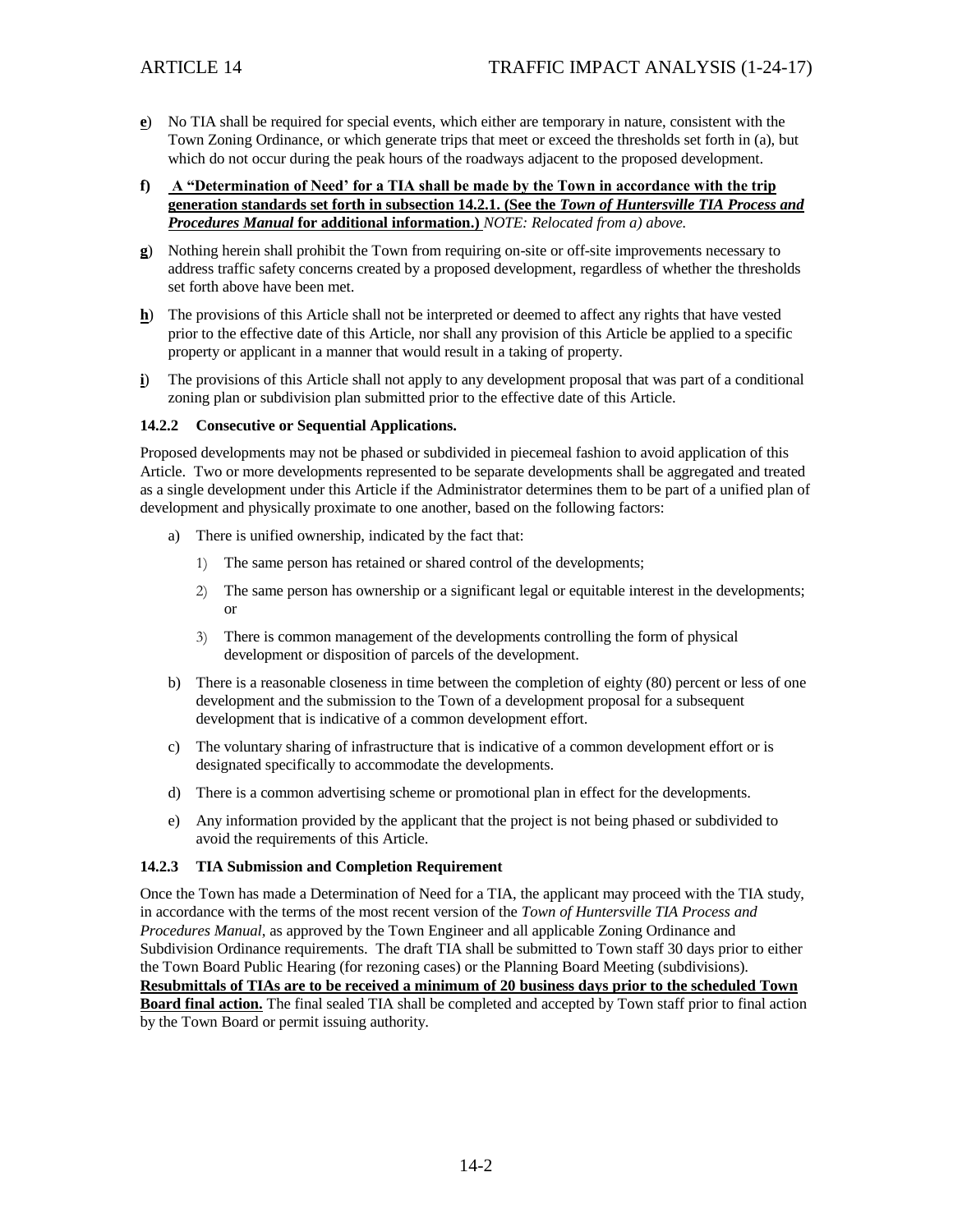- **e**) No TIA shall be required for special events, which either are temporary in nature, consistent with the Town Zoning Ordinance, or which generate trips that meet or exceed the thresholds set forth in (a), but which do not occur during the peak hours of the roadways adjacent to the proposed development.
- **f) A "Determination of Need' for a TIA shall be made by the Town in accordance with the trip generation standards set forth in subsection 14.2.1. (See the** *Town of Huntersville TIA Process and Procedures Manual* **for additional information.)** *NOTE: Relocated from a) above.*
- **g**) Nothing herein shall prohibit the Town from requiring on-site or off-site improvements necessary to address traffic safety concerns created by a proposed development, regardless of whether the thresholds set forth above have been met.
- **h**) The provisions of this Article shall not be interpreted or deemed to affect any rights that have vested prior to the effective date of this Article, nor shall any provision of this Article be applied to a specific property or applicant in a manner that would result in a taking of property.
- **i**) The provisions of this Article shall not apply to any development proposal that was part of a conditional zoning plan or subdivision plan submitted prior to the effective date of this Article.

### **14.2.2 Consecutive or Sequential Applications.**

Proposed developments may not be phased or subdivided in piecemeal fashion to avoid application of this Article. Two or more developments represented to be separate developments shall be aggregated and treated as a single development under this Article if the Administrator determines them to be part of a unified plan of development and physically proximate to one another, based on the following factors:

- a) There is unified ownership, indicated by the fact that:
	- 1) The same person has retained or shared control of the developments;
	- 2) The same person has ownership or a significant legal or equitable interest in the developments; or
	- 3) There is common management of the developments controlling the form of physical development or disposition of parcels of the development.
- b) There is a reasonable closeness in time between the completion of eighty (80) percent or less of one development and the submission to the Town of a development proposal for a subsequent development that is indicative of a common development effort.
- c) The voluntary sharing of infrastructure that is indicative of a common development effort or is designated specifically to accommodate the developments.
- d) There is a common advertising scheme or promotional plan in effect for the developments.
- e) Any information provided by the applicant that the project is not being phased or subdivided to avoid the requirements of this Article.

### **14.2.3 TIA Submission and Completion Requirement**

Once the Town has made a Determination of Need for a TIA, the applicant may proceed with the TIA study, in accordance with the terms of the most recent version of the *Town of Huntersville TIA Process and Procedures Manual*, as approved by the Town Engineer and all applicable Zoning Ordinance and Subdivision Ordinance requirements. The draft TIA shall be submitted to Town staff 30 days prior to either the Town Board Public Hearing (for rezoning cases) or the Planning Board Meeting (subdivisions). **Resubmittals of TIAs are to be received a minimum of 20 business days prior to the scheduled Town Board final action.** The final sealed TIA shall be completed and accepted by Town staff prior to final action by the Town Board or permit issuing authority.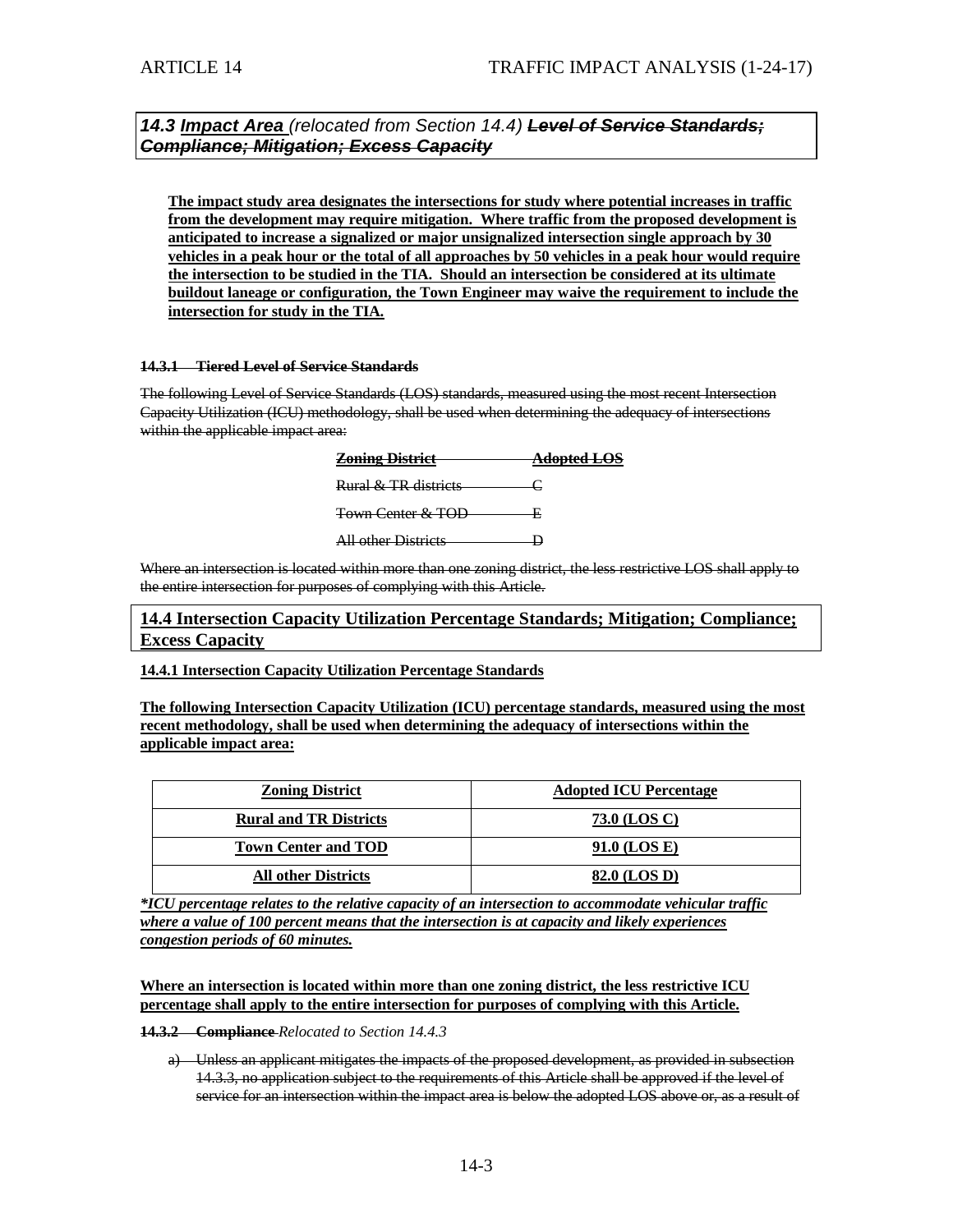*14.3 Impact Area (relocated from Section 14.4) Level of Service Standards; Compliance; Mitigation; Excess Capacity*

**The impact study area designates the intersections for study where potential increases in traffic from the development may require mitigation. Where traffic from the proposed development is anticipated to increase a signalized or major unsignalized intersection single approach by 30 vehicles in a peak hour or the total of all approaches by 50 vehicles in a peak hour would require the intersection to be studied in the TIA. Should an intersection be considered at its ultimate buildout laneage or configuration, the Town Engineer may waive the requirement to include the intersection for study in the TIA.**

#### **14.3.1 Tiered Level of Service Standards**

The following Level of Service Standards (LOS) standards, measured using the most recent Intersection Capacity Utilization (ICU) methodology, shall be used when determining the adequacy of intersections within the applicable impact area:

| <b>Zoning District</b>                                    | <del>Adopted LOS</del> |
|-----------------------------------------------------------|------------------------|
| <b>Rural &amp; TR districts</b>                           |                        |
| <b>Town Center &amp; TOD</b>                              |                        |
| All other Districts<br><del>m vanci i<i>p</i>isance</del> |                        |

Where an intersection is located within more than one zoning district, the less restrictive LOS shall apply to the entire intersection for purposes of complying with this Article.

**14.4 Intersection Capacity Utilization Percentage Standards; Mitigation; Compliance; Excess Capacity**

**14.4.1 Intersection Capacity Utilization Percentage Standards**

**The following Intersection Capacity Utilization (ICU) percentage standards, measured using the most recent methodology, shall be used when determining the adequacy of intersections within the applicable impact area:**

| <b>Zoning District</b>        | <b>Adopted ICU Percentage</b> |
|-------------------------------|-------------------------------|
| <b>Rural and TR Districts</b> | 73.0 (LOS C)                  |
| <b>Town Center and TOD</b>    | 91.0 (LOS E)                  |
| <b>All other Districts</b>    | 82.0 (LOS D)                  |

*\*ICU percentage relates to the relative capacity of an intersection to accommodate vehicular traffic where a value of 100 percent means that the intersection is at capacity and likely experiences congestion periods of 60 minutes.*

**Where an intersection is located within more than one zoning district, the less restrictive ICU percentage shall apply to the entire intersection for purposes of complying with this Article.**

**14.3.2 Compliance** *Relocated to Section 14.4.3*

a) Unless an applicant mitigates the impacts of the proposed development, as provided in subsection 14.3.3, no application subject to the requirements of this Article shall be approved if the level of service for an intersection within the impact area is below the adopted LOS above or, as a result of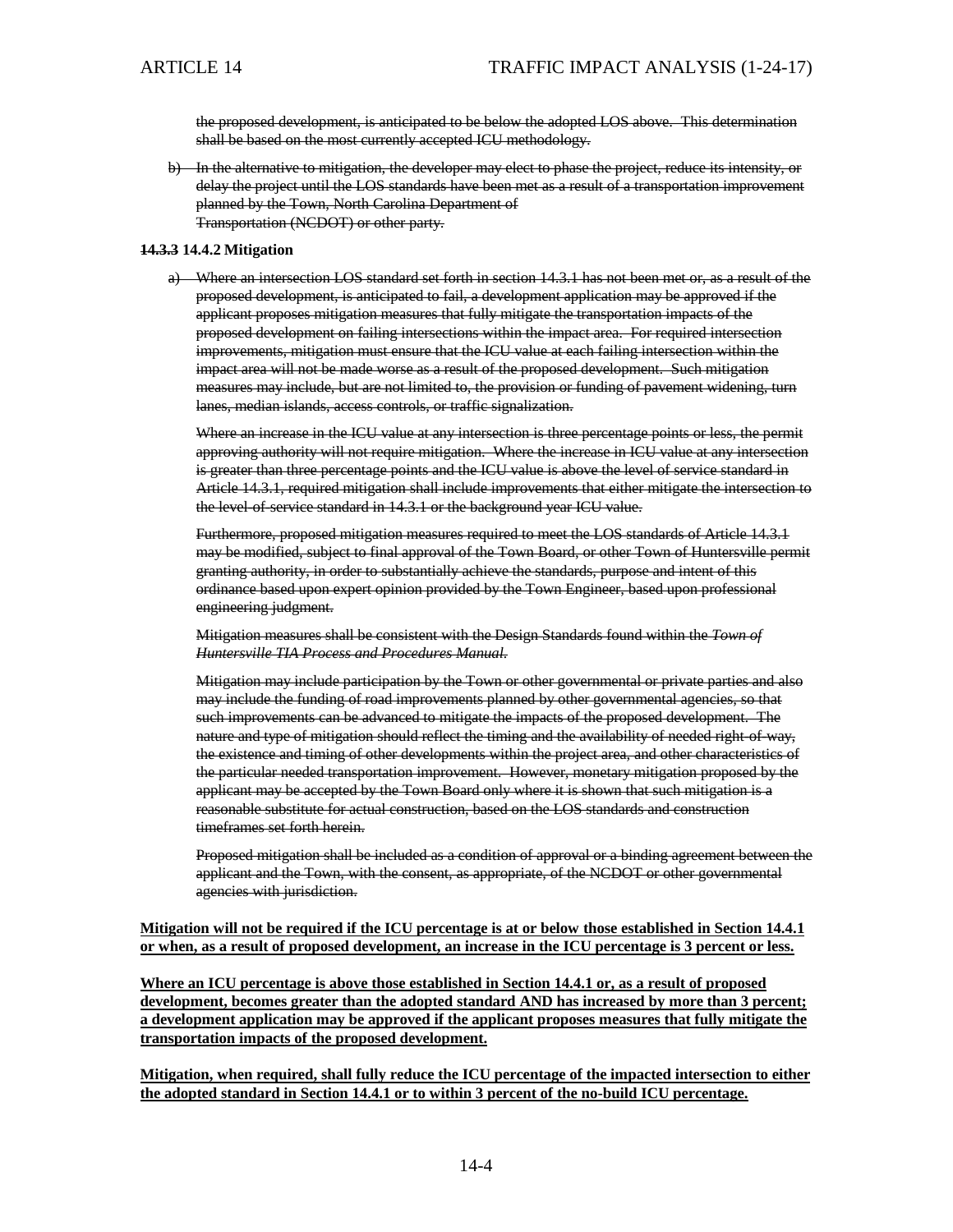the proposed development, is anticipated to be below the adopted LOS above. This determination shall be based on the most currently accepted ICU methodology.

b) In the alternative to mitigation, the developer may elect to phase the project, reduce its intensity, or delay the project until the LOS standards have been met as a result of a transportation improvement planned by the Town, North Carolina Department of Transportation (NCDOT) or other party.

#### **14.3.3 14.4.2 Mitigation**

a) Where an intersection LOS standard set forth in section 14.3.1 has not been met or, as a result of the proposed development, is anticipated to fail, a development application may be approved if the applicant proposes mitigation measures that fully mitigate the transportation impacts of the proposed development on failing intersections within the impact area. For required intersection improvements, mitigation must ensure that the ICU value at each failing intersection within the impact area will not be made worse as a result of the proposed development. Such mitigation measures may include, but are not limited to, the provision or funding of pavement widening, turn lanes, median islands, access controls, or traffic signalization.

Where an increase in the ICU value at any intersection is three percentage points or less, the permit approving authority will not require mitigation. Where the increase in ICU value at any intersection is greater than three percentage points and the ICU value is above the level of service standard in Article 14.3.1, required mitigation shall include improvements that either mitigate the intersection to the level-of-service standard in 14.3.1 or the background year ICU value.

Furthermore, proposed mitigation measures required to meet the LOS standards of Article 14.3.1 may be modified, subject to final approval of the Town Board, or other Town of Huntersville permit granting authority, in order to substantially achieve the standards, purpose and intent of this ordinance based upon expert opinion provided by the Town Engineer, based upon professional engineering judgment.

Mitigation measures shall be consistent with the Design Standards found within the *Town of Huntersville TIA Process and Procedures Manual.*

Mitigation may include participation by the Town or other governmental or private parties and also may include the funding of road improvements planned by other governmental agencies, so that such improvements can be advanced to mitigate the impacts of the proposed development. The nature and type of mitigation should reflect the timing and the availability of needed right-of-way, the existence and timing of other developments within the project area, and other characteristics of the particular needed transportation improvement. However, monetary mitigation proposed by the applicant may be accepted by the Town Board only where it is shown that such mitigation is a reasonable substitute for actual construction, based on the LOS standards and construction timeframes set forth herein.

Proposed mitigation shall be included as a condition of approval or a binding agreement between the applicant and the Town, with the consent, as appropriate, of the NCDOT or other governmental agencies with jurisdiction.

### **Mitigation will not be required if the ICU percentage is at or below those established in Section 14.4.1 or when, as a result of proposed development, an increase in the ICU percentage is 3 percent or less.**

**Where an ICU percentage is above those established in Section 14.4.1 or, as a result of proposed development, becomes greater than the adopted standard AND has increased by more than 3 percent; a development application may be approved if the applicant proposes measures that fully mitigate the transportation impacts of the proposed development.**

**Mitigation, when required, shall fully reduce the ICU percentage of the impacted intersection to either the adopted standard in Section 14.4.1 or to within 3 percent of the no-build ICU percentage.**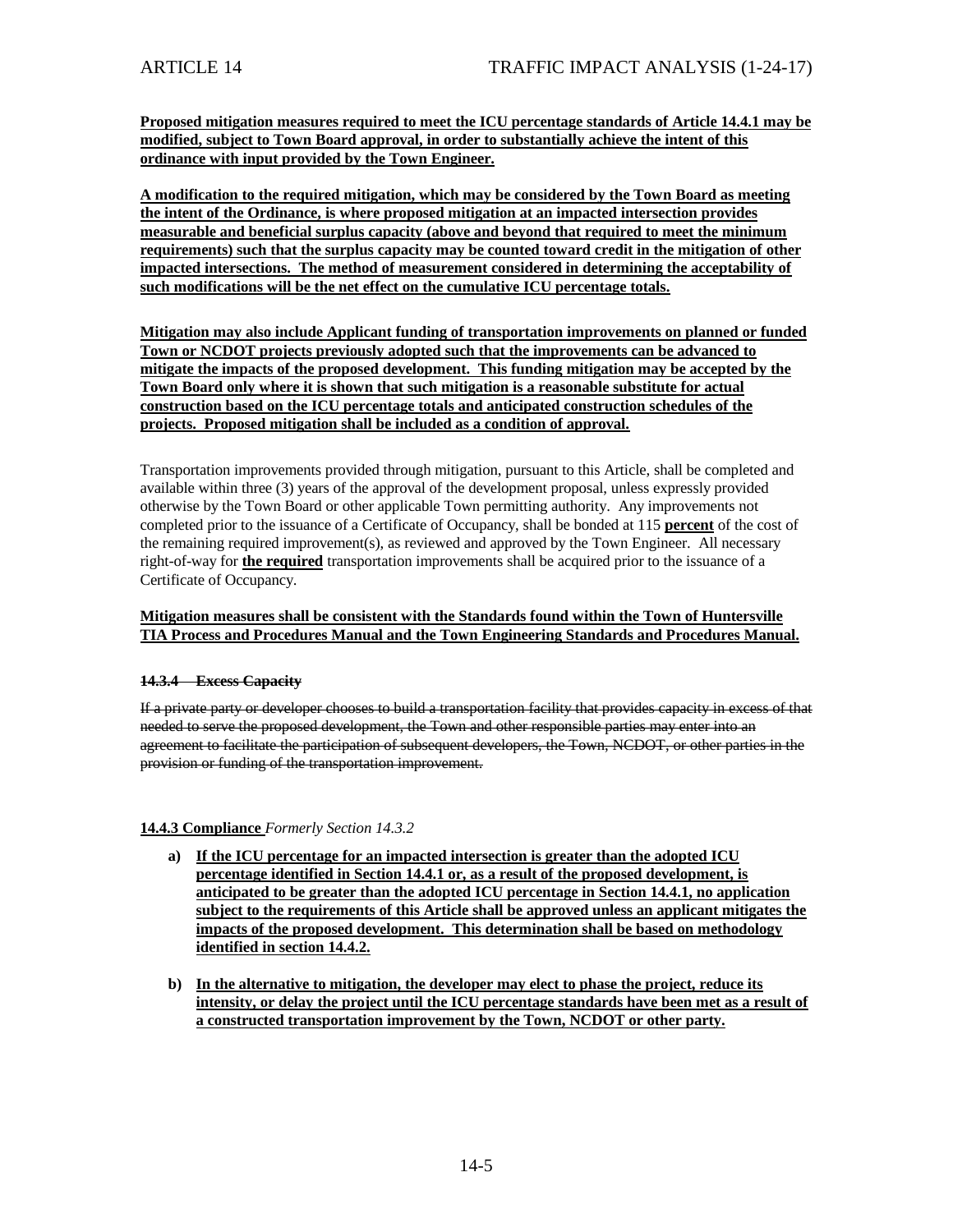**Proposed mitigation measures required to meet the ICU percentage standards of Article 14.4.1 may be modified, subject to Town Board approval, in order to substantially achieve the intent of this ordinance with input provided by the Town Engineer.**

**A modification to the required mitigation, which may be considered by the Town Board as meeting the intent of the Ordinance, is where proposed mitigation at an impacted intersection provides measurable and beneficial surplus capacity (above and beyond that required to meet the minimum requirements) such that the surplus capacity may be counted toward credit in the mitigation of other impacted intersections. The method of measurement considered in determining the acceptability of such modifications will be the net effect on the cumulative ICU percentage totals.**

**Mitigation may also include Applicant funding of transportation improvements on planned or funded Town or NCDOT projects previously adopted such that the improvements can be advanced to mitigate the impacts of the proposed development. This funding mitigation may be accepted by the Town Board only where it is shown that such mitigation is a reasonable substitute for actual construction based on the ICU percentage totals and anticipated construction schedules of the projects. Proposed mitigation shall be included as a condition of approval.**

Transportation improvements provided through mitigation, pursuant to this Article, shall be completed and available within three (3) years of the approval of the development proposal, unless expressly provided otherwise by the Town Board or other applicable Town permitting authority. Any improvements not completed prior to the issuance of a Certificate of Occupancy, shall be bonded at 115 **percent** of the cost of the remaining required improvement(s), as reviewed and approved by the Town Engineer. All necessary right-of-way for **the required** transportation improvements shall be acquired prior to the issuance of a Certificate of Occupancy.

### **Mitigation measures shall be consistent with the Standards found within the Town of Huntersville TIA Process and Procedures Manual and the Town Engineering Standards and Procedures Manual.**

### **14.3.4 Excess Capacity**

If a private party or developer chooses to build a transportation facility that provides capacity in excess of that needed to serve the proposed development, the Town and other responsible parties may enter into an agreement to facilitate the participation of subsequent developers, the Town, NCDOT, or other parties in the provision or funding of the transportation improvement.

### **14.4.3 Compliance** *Formerly Section 14.3.2*

- **a) If the ICU percentage for an impacted intersection is greater than the adopted ICU percentage identified in Section 14.4.1 or, as a result of the proposed development, is anticipated to be greater than the adopted ICU percentage in Section 14.4.1, no application subject to the requirements of this Article shall be approved unless an applicant mitigates the impacts of the proposed development. This determination shall be based on methodology identified in section 14.4.2.**
- **b) In the alternative to mitigation, the developer may elect to phase the project, reduce its intensity, or delay the project until the ICU percentage standards have been met as a result of a constructed transportation improvement by the Town, NCDOT or other party.**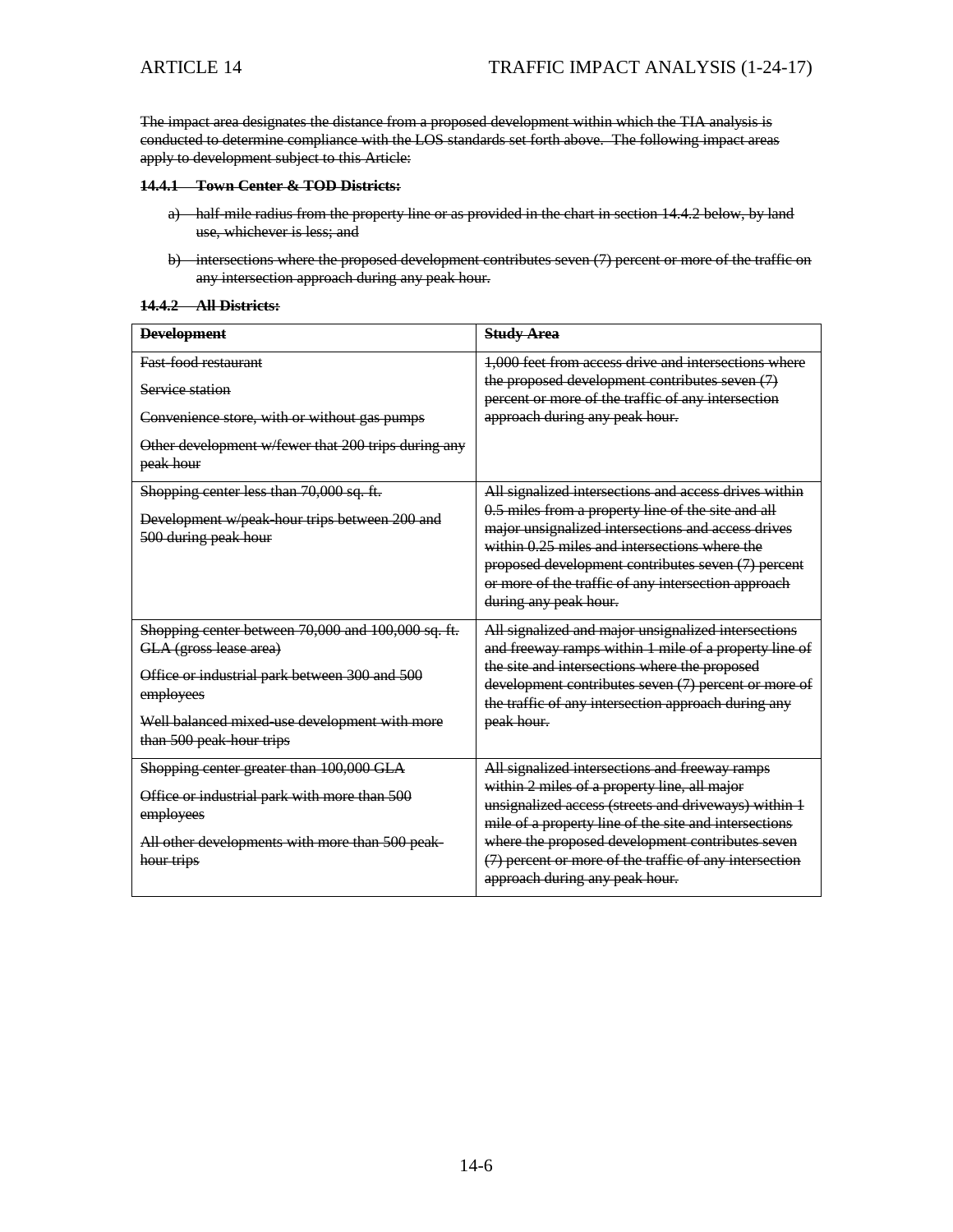The impact area designates the distance from a proposed development within which the TIA analysis is conducted to determine compliance with the LOS standards set forth above. The following impact areas apply to development subject to this Article:

#### **14.4.1 Town Center & TOD Districts:**

- a) half-mile radius from the property line or as provided in the chart in section 14.4.2 below, by land use, whichever is less; and
- b) intersections where the proposed development contributes seven (7) percent or more of the traffic on any intersection approach during any peak hour.

#### **14.4.2 All Districts:**

| <b>Development</b>                                                                                                                                                                                                      | <b>Study Area</b>                                                                                                                                                                                                                                                                                                                                               |
|-------------------------------------------------------------------------------------------------------------------------------------------------------------------------------------------------------------------------|-----------------------------------------------------------------------------------------------------------------------------------------------------------------------------------------------------------------------------------------------------------------------------------------------------------------------------------------------------------------|
| <b>Fast food restaurant</b>                                                                                                                                                                                             | 1,000 feet from access drive and intersections where                                                                                                                                                                                                                                                                                                            |
| Service station                                                                                                                                                                                                         | the proposed development contributes seven (7)<br>percent or more of the traffic of any intersection                                                                                                                                                                                                                                                            |
| Convenience store, with or without gas pumps                                                                                                                                                                            | approach during any peak hour.                                                                                                                                                                                                                                                                                                                                  |
| Other development w/fewer that 200 trips during any<br>peak hour                                                                                                                                                        |                                                                                                                                                                                                                                                                                                                                                                 |
| Shopping center less than 70,000 sq. ft.<br>Development w/peak hour trips between 200 and<br>500 during peak hour                                                                                                       | All signalized intersections and access drives within<br>0.5 miles from a property line of the site and all<br>major unsignalized intersections and access drives<br>within 0.25 miles and intersections where the<br>proposed development contributes seven (7) percent<br>or more of the traffic of any intersection approach<br>during any peak hour.        |
| Shopping center between 70,000 and 100,000 sq. ft.<br>GLA (gross lease area)<br>Office or industrial park between 300 and 500<br>employees<br>Well balanced mixed use development with more<br>than 500 peak hour trips | All signalized and major unsignalized intersections<br>and freeway ramps within 1 mile of a property line of<br>the site and intersections where the proposed<br>development contributes seven (7) percent or more of<br>the traffic of any intersection approach during any<br>peak hour.                                                                      |
| Shopping center greater than 100,000 GLA<br>Office or industrial park with more than 500<br>employees<br>All other developments with more than 500 peak-<br>hour trips                                                  | All signalized intersections and freeway ramps<br>within 2 miles of a property line, all major<br>unsignalized access (streets and driveways) within 1<br>mile of a property line of the site and intersections<br>where the proposed development contributes seven<br>(7) percent or more of the traffic of any intersection<br>approach during any peak hour. |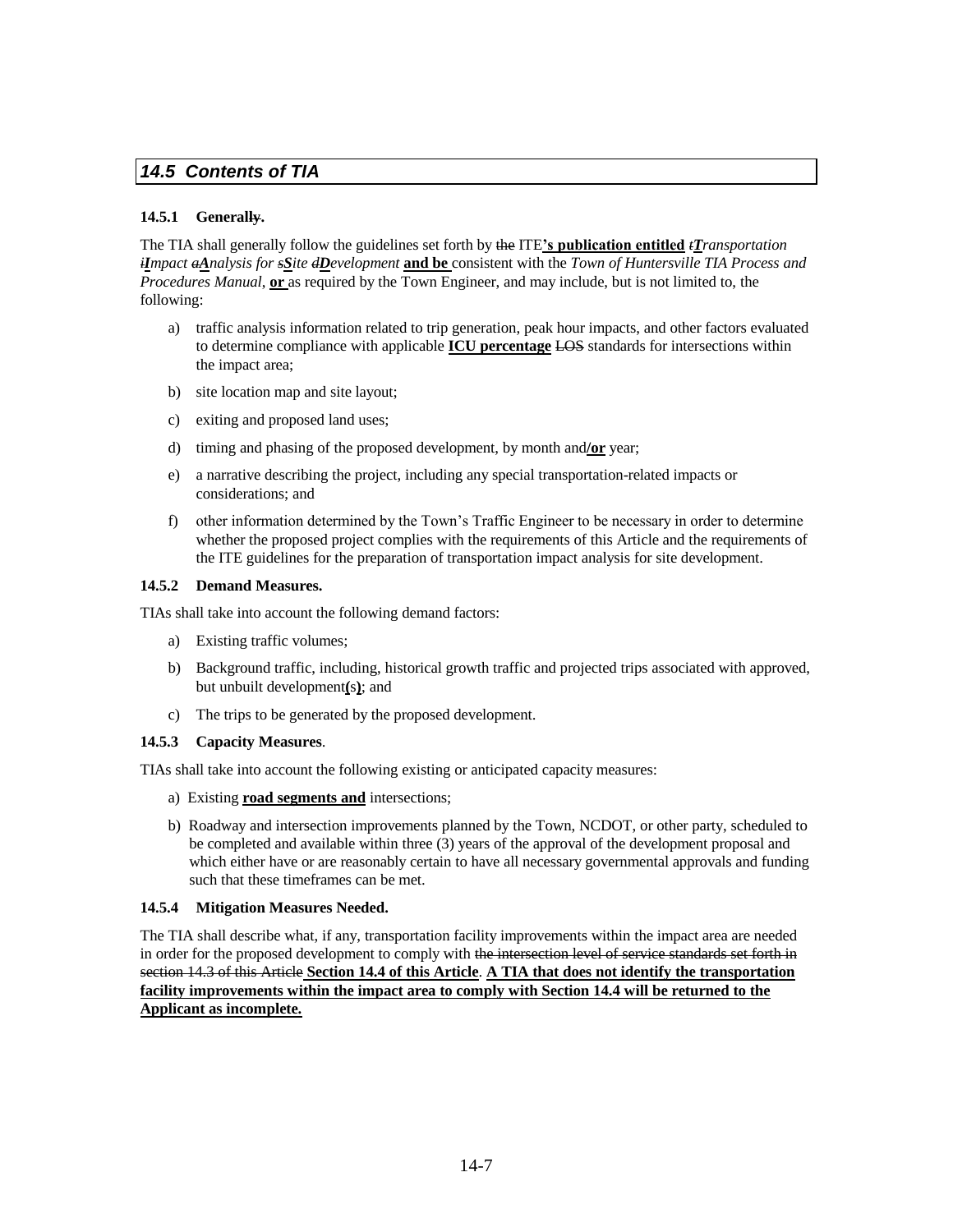# *14.5 Contents of TIA*

### **14.5.1 Generally.**

The TIA shall generally follow the guidelines set forth by the ITE**'s publication entitled** *tTransportation iImpact aAnalysis for sSite dDevelopment* **and be** consistent with the *Town of Huntersville TIA Process and Procedures Manual*, **or** as required by the Town Engineer, and may include, but is not limited to, the following:

- a) traffic analysis information related to trip generation, peak hour impacts, and other factors evaluated to determine compliance with applicable **ICU percentage** LOS standards for intersections within the impact area;
- b) site location map and site layout;
- c) exiting and proposed land uses;
- d) timing and phasing of the proposed development, by month and**/or** year;
- e) a narrative describing the project, including any special transportation-related impacts or considerations; and
- f) other information determined by the Town's Traffic Engineer to be necessary in order to determine whether the proposed project complies with the requirements of this Article and the requirements of the ITE guidelines for the preparation of transportation impact analysis for site development.

### **14.5.2 Demand Measures.**

TIAs shall take into account the following demand factors:

- a) Existing traffic volumes;
- b) Background traffic, including, historical growth traffic and projected trips associated with approved, but unbuilt development**(**s**)**; and
- c) The trips to be generated by the proposed development.

### **14.5.3 Capacity Measures**.

TIAs shall take into account the following existing or anticipated capacity measures:

- a) Existing **road segments and** intersections;
- b) Roadway and intersection improvements planned by the Town, NCDOT, or other party, scheduled to be completed and available within three (3) years of the approval of the development proposal and which either have or are reasonably certain to have all necessary governmental approvals and funding such that these timeframes can be met.

## **14.5.4 Mitigation Measures Needed.**

The TIA shall describe what, if any, transportation facility improvements within the impact area are needed in order for the proposed development to comply with the intersection level of service standards set forth in section 14.3 of this Article **Section 14.4 of this Article**. **A TIA that does not identify the transportation facility improvements within the impact area to comply with Section 14.4 will be returned to the Applicant as incomplete.**